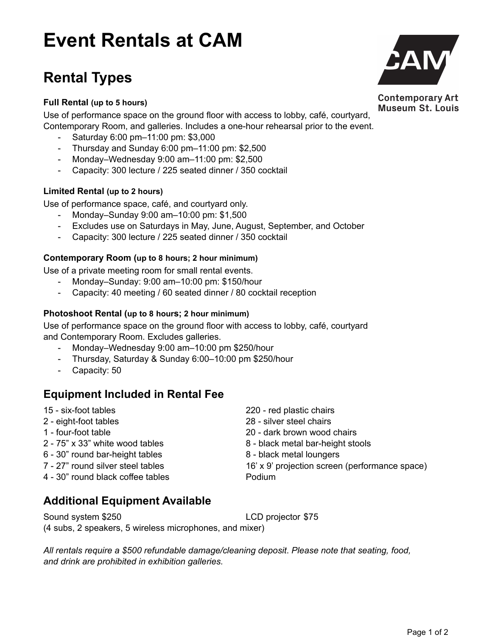# **Event Rentals at CAM**

## **Rental Types**

## **Full Rental (up to 5 hours)**

Use of performance space on the ground floor with access to lobby, café, courtyard, Contemporary Room, and galleries. Includes a one-hour rehearsal prior to the event.

- Saturday 6:00 pm–11:00 pm: \$3,000
- Thursday and Sunday 6:00 pm–11:00 pm: \$2,500
- Monday–Wednesday 9:00 am–11:00 pm: \$2,500
- Capacity: 300 lecture / 225 seated dinner / 350 cocktail

### **Limited Rental (up to 2 hours)**

Use of performance space, café, and courtyard only.

- Monday–Sunday 9:00 am–10:00 pm: \$1,500
- Excludes use on Saturdays in May, June, August, September, and October
- Capacity: 300 lecture / 225 seated dinner / 350 cocktail

### **Contemporary Room (up to 8 hours; 2 hour minimum)**

Use of a private meeting room for small rental events.

- Monday–Sunday: 9:00 am–10:00 pm: \$150/hour
- Capacity: 40 meeting / 60 seated dinner / 80 cocktail reception

#### **Photoshoot Rental (up to 8 hours; 2 hour minimum)**

Use of performance space on the ground floor with access to lobby, café, courtyard and Contemporary Room. Excludes galleries.

- Monday–Wednesday 9:00 am–10:00 pm \$250/hour
- Thursday, Saturday & Sunday 6:00–10:00 pm \$250/hour
- Capacity: 50

## **Equipment Included in Rental Fee**

15 - six-foot tables 220 - red plastic chairs 2 - eight-foot tables 28 - silver steel chairs 1 - four-foot table 20 - dark brown wood chairs 2 - 75" x 33" white wood tables 8 - 8 - black metal bar-height stools 6 - 30" round bar-height tables 8 - black metal loungers 7 - 27" round silver steel tables 16' x 9' projection screen (performance space) 4 - 30" round black coffee tables Podium

## **Additional Equipment Available**

Sound system \$250 LCD projector \$75 (4 subs, 2 speakers, 5 wireless microphones, and mixer)

*All rentals require a \$500 refundable damage/cleaning deposit*. *Please note that seating, food, and drink are prohibited in exhibition galleries.*



**Contemporary Art Museum St. Louis**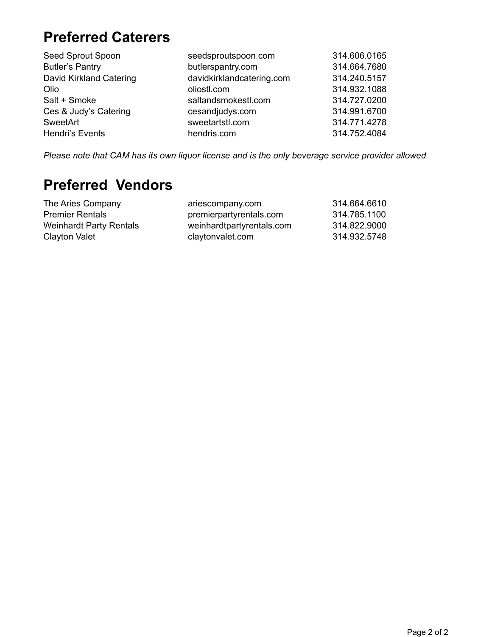## **Preferred Caterers**

| Seed Sprout Spoon       | seedsproutspoon.com       | 314.606.0165 |
|-------------------------|---------------------------|--------------|
| <b>Butler's Pantry</b>  | butlerspantry.com         | 314.664.7680 |
| David Kirkland Catering | davidkirklandcatering.com | 314.240.5157 |
| Olio                    | oliostl.com               | 314.932.1088 |
| Salt + Smoke            | saltandsmokestl.com       | 314.727.0200 |
| Ces & Judy's Catering   | cesandjudys.com           | 314.991.6700 |
| SweetArt                | sweetartstl.com           | 314.771.4278 |
| Hendri's Events         | hendris.com               | 314.752.4084 |

*Please note that CAM has its own liquor license and is the only beverage service provider allowed.* 

## **Preferred Vendors**

| The Aries Company              | ariescompany.com          | 314.664.6610 |
|--------------------------------|---------------------------|--------------|
| <b>Premier Rentals</b>         | premierpartyrentals.com   | 314.785.1100 |
| <b>Weinhardt Party Rentals</b> | weinhardtpartyrentals.com | 314.822.9000 |
| Clayton Valet                  | claytonvalet.com          | 314.932.5748 |